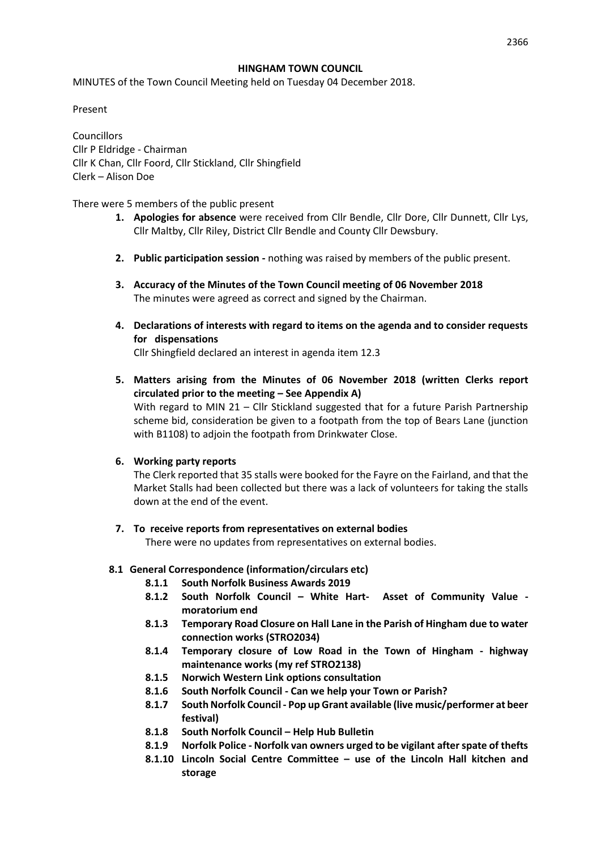### **HINGHAM TOWN COUNCIL**

MINUTES of the Town Council Meeting held on Tuesday 04 December 2018.

Present

**Councillors** Cllr P Eldridge - Chairman Cllr K Chan, Cllr Foord, Cllr Stickland, Cllr Shingfield Clerk – Alison Doe

There were 5 members of the public present

- **1. Apologies for absence** were received from Cllr Bendle, Cllr Dore, Cllr Dunnett, Cllr Lys, Cllr Maltby, Cllr Riley, District Cllr Bendle and County Cllr Dewsbury.
- **2. Public participation session -** nothing was raised by members of the public present.
- **3. Accuracy of the Minutes of the Town Council meeting of 06 November 2018** The minutes were agreed as correct and signed by the Chairman.
- **4. Declarations of interests with regard to items on the agenda and to consider requests for dispensations** Cllr Shingfield declared an interest in agenda item 12.3
- **5. Matters arising from the Minutes of 06 November 2018 (written Clerks report circulated prior to the meeting – See Appendix A)** With regard to MIN 21 - Cllr Stickland suggested that for a future Parish Partnership

scheme bid, consideration be given to a footpath from the top of Bears Lane (junction with B1108) to adjoin the footpath from Drinkwater Close.

### **6. Working party reports**

The Clerk reported that 35 stalls were booked for the Fayre on the Fairland, and that the Market Stalls had been collected but there was a lack of volunteers for taking the stalls down at the end of the event.

### **7. To receive reports from representatives on external bodies**

There were no updates from representatives on external bodies.

### **8.1 General Correspondence (information/circulars etc)**

- **8.1.1 South Norfolk Business Awards 2019**
- **8.1.2 South Norfolk Council – White Hart- Asset of Community Value moratorium end**
- **8.1.3 Temporary Road Closure on Hall Lane in the Parish of Hingham due to water connection works (STRO2034)**
- **8.1.4 Temporary closure of Low Road in the Town of Hingham - highway maintenance works (my ref STRO2138)**
- **8.1.5 Norwich Western Link options consultation**
- **8.1.6 South Norfolk Council - Can we help your Town or Parish?**
- **8.1.7 South Norfolk Council - Pop up Grant available (live music/performer at beer festival)**
- **8.1.8 South Norfolk Council – Help Hub Bulletin**
- **8.1.9 Norfolk Police - Norfolk van owners urged to be vigilant after spate of thefts**
- **8.1.10 Lincoln Social Centre Committee – use of the Lincoln Hall kitchen and storage**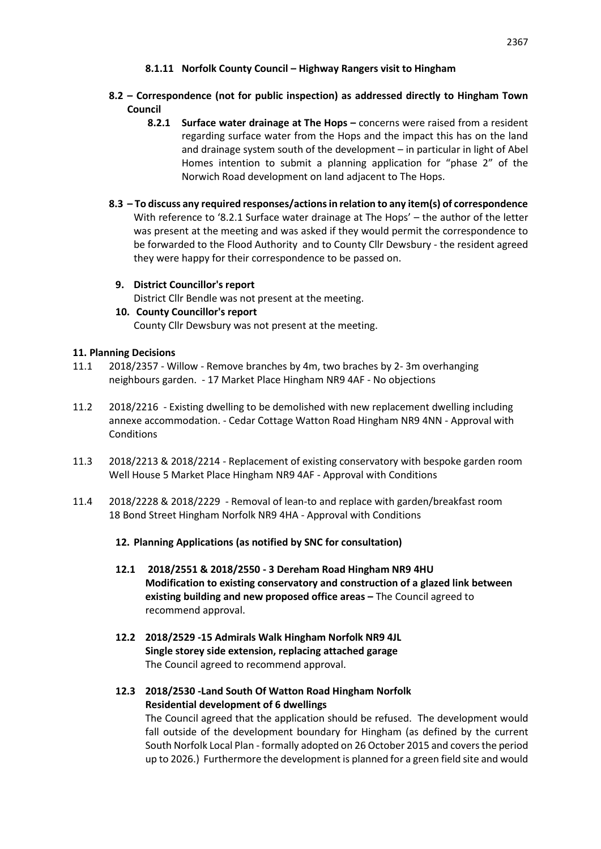- **8.1.11 Norfolk County Council – Highway Rangers visit to Hingham**
- **8.2 – Correspondence (not for public inspection) as addressed directly to Hingham Town Council**
	- **8.2.1 Surface water drainage at The Hops –** concerns were raised from a resident regarding surface water from the Hops and the impact this has on the land and drainage system south of the development – in particular in light of Abel Homes intention to submit a planning application for "phase 2" of the Norwich Road development on land adjacent to The Hops.
- **8.3 – To discuss any required responses/actions in relation to any item(s) of correspondence**  With reference to '8.2.1 Surface water drainage at The Hops' – the author of the letter was present at the meeting and was asked if they would permit the correspondence to be forwarded to the Flood Authority and to County Cllr Dewsbury - the resident agreed they were happy for their correspondence to be passed on.
- **9. District Councillor's report**  District Cllr Bendle was not present at the meeting. **10. County Councillor's report**

County Cllr Dewsbury was not present at the meeting.

# **11. Planning Decisions**

- 11.1 2018/2357 Willow Remove branches by 4m, two braches by 2- 3m overhanging neighbours garden. - 17 Market Place Hingham NR9 4AF - No objections
- 11.2 2018/2216 Existing dwelling to be demolished with new replacement dwelling including annexe accommodation. - Cedar Cottage Watton Road Hingham NR9 4NN - Approval with Conditions
- 11.3 2018/2213 & 2018/2214 Replacement of existing conservatory with bespoke garden room Well House 5 Market Place Hingham NR9 4AF - Approval with Conditions
- 11.4 2018/2228 & 2018/2229 Removal of lean-to and replace with garden/breakfast room 18 Bond Street Hingham Norfolk NR9 4HA - Approval with Conditions

# **12. Planning Applications (as notified by SNC for consultation)**

- **12.1 2018/2551 & 2018/2550 - 3 Dereham Road Hingham NR9 4HU Modification to existing conservatory and construction of a glazed link between existing building and new proposed office areas –** The Council agreed to recommend approval.
- **12.2 2018/2529 -15 Admirals Walk Hingham Norfolk NR9 4JL Single storey side extension, replacing attached garage**  The Council agreed to recommend approval.
- **12.3 2018/2530 -Land South Of Watton Road Hingham Norfolk Residential development of 6 dwellings**  The Council agreed that the application should be refused. The development would fall outside of the development boundary for Hingham (as defined by the current South Norfolk Local Plan - formally adopted on 26 October 2015 and covers the period up to 2026.) Furthermore the development is planned for a green field site and would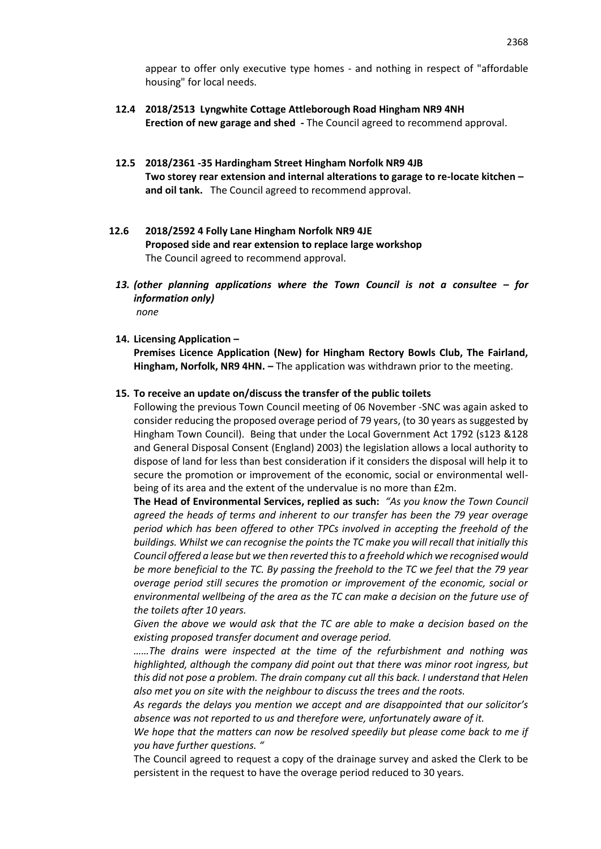appear to offer only executive type homes - and nothing in respect of "affordable housing" for local needs.

- **12.4 2018/2513 Lyngwhite Cottage Attleborough Road Hingham NR9 4NH Erection of new garage and shed -** The Council agreed to recommend approval.
- **12.5 2018/2361 -35 Hardingham Street Hingham Norfolk NR9 4JB Two storey rear extension and internal alterations to garage to re-locate kitchen – and oil tank.** The Council agreed to recommend approval.
- **12.6 2018/2592 4 Folly Lane Hingham Norfolk NR9 4JE Proposed side and rear extension to replace large workshop** The Council agreed to recommend approval.
	- *13. (other planning applications where the Town Council is not a consultee – for information only) none*
	- **14. Licensing Application –**

**Premises Licence Application (New) for Hingham Rectory Bowls Club, The Fairland, Hingham, Norfolk, NR9 4HN. –** The application was withdrawn prior to the meeting.

#### **15. To receive an update on/discuss the transfer of the public toilets**

Following the previous Town Council meeting of 06 November -SNC was again asked to consider reducing the proposed overage period of 79 years, (to 30 years as suggested by Hingham Town Council). Being that under the Local Government Act 1792 (s123 &128 and General Disposal Consent (England) 2003) the legislation allows a local authority to dispose of land for less than best consideration if it considers the disposal will help it to secure the promotion or improvement of the economic, social or environmental wellbeing of its area and the extent of the undervalue is no more than £2m.

**The Head of Environmental Services, replied as such:** *"As you know the Town Council agreed the heads of terms and inherent to our transfer has been the 79 year overage period which has been offered to other TPCs involved in accepting the freehold of the buildings. Whilst we can recognise the points the TC make you will recall that initially this Council offered a lease but we then reverted this to a freehold which we recognised would be more beneficial to the TC. By passing the freehold to the TC we feel that the 79 year overage period still secures the promotion or improvement of the economic, social or environmental wellbeing of the area as the TC can make a decision on the future use of the toilets after 10 years.* 

*Given the above we would ask that the TC are able to make a decision based on the existing proposed transfer document and overage period.*

*……The drains were inspected at the time of the refurbishment and nothing was highlighted, although the company did point out that there was minor root ingress, but this did not pose a problem. The drain company cut all this back. I understand that Helen also met you on site with the neighbour to discuss the trees and the roots.*

*As regards the delays you mention we accept and are disappointed that our solicitor's absence was not reported to us and therefore were, unfortunately aware of it.*

We hope that the matters can now be resolved speedily but please come back to me if *you have further questions. "*

The Council agreed to request a copy of the drainage survey and asked the Clerk to be persistent in the request to have the overage period reduced to 30 years.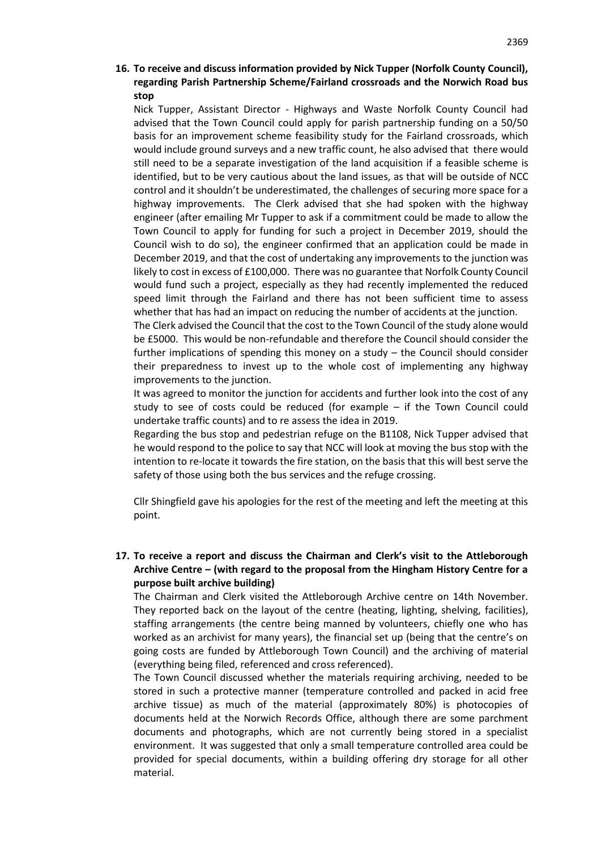# **16. To receive and discuss information provided by Nick Tupper (Norfolk County Council), regarding Parish Partnership Scheme/Fairland crossroads and the Norwich Road bus stop**

Nick Tupper, Assistant Director - Highways and Waste Norfolk County Council had advised that the Town Council could apply for parish partnership funding on a 50/50 basis for an improvement scheme feasibility study for the Fairland crossroads, which would include ground surveys and a new traffic count, he also advised that there would still need to be a separate investigation of the land acquisition if a feasible scheme is identified, but to be very cautious about the land issues, as that will be outside of NCC control and it shouldn't be underestimated, the challenges of securing more space for a highway improvements. The Clerk advised that she had spoken with the highway engineer (after emailing Mr Tupper to ask if a commitment could be made to allow the Town Council to apply for funding for such a project in December 2019, should the Council wish to do so), the engineer confirmed that an application could be made in December 2019, and that the cost of undertaking any improvements to the junction was likely to cost in excess of £100,000. There was no guarantee that Norfolk County Council would fund such a project, especially as they had recently implemented the reduced speed limit through the Fairland and there has not been sufficient time to assess whether that has had an impact on reducing the number of accidents at the junction.

The Clerk advised the Council that the cost to the Town Council of the study alone would be £5000. This would be non-refundable and therefore the Council should consider the further implications of spending this money on a study – the Council should consider their preparedness to invest up to the whole cost of implementing any highway improvements to the junction.

It was agreed to monitor the junction for accidents and further look into the cost of any study to see of costs could be reduced (for example – if the Town Council could undertake traffic counts) and to re assess the idea in 2019.

Regarding the bus stop and pedestrian refuge on the B1108, Nick Tupper advised that he would respond to the police to say that NCC will look at moving the bus stop with the intention to re-locate it towards the fire station, on the basis that this will best serve the safety of those using both the bus services and the refuge crossing.

Cllr Shingfield gave his apologies for the rest of the meeting and left the meeting at this point.

# **17. To receive a report and discuss the Chairman and Clerk's visit to the Attleborough Archive Centre – (with regard to the proposal from the Hingham History Centre for a purpose built archive building)**

The Chairman and Clerk visited the Attleborough Archive centre on 14th November. They reported back on the layout of the centre (heating, lighting, shelving, facilities), staffing arrangements (the centre being manned by volunteers, chiefly one who has worked as an archivist for many years), the financial set up (being that the centre's on going costs are funded by Attleborough Town Council) and the archiving of material (everything being filed, referenced and cross referenced).

The Town Council discussed whether the materials requiring archiving, needed to be stored in such a protective manner (temperature controlled and packed in acid free archive tissue) as much of the material (approximately 80%) is photocopies of documents held at the Norwich Records Office, although there are some parchment documents and photographs, which are not currently being stored in a specialist environment. It was suggested that only a small temperature controlled area could be provided for special documents, within a building offering dry storage for all other material.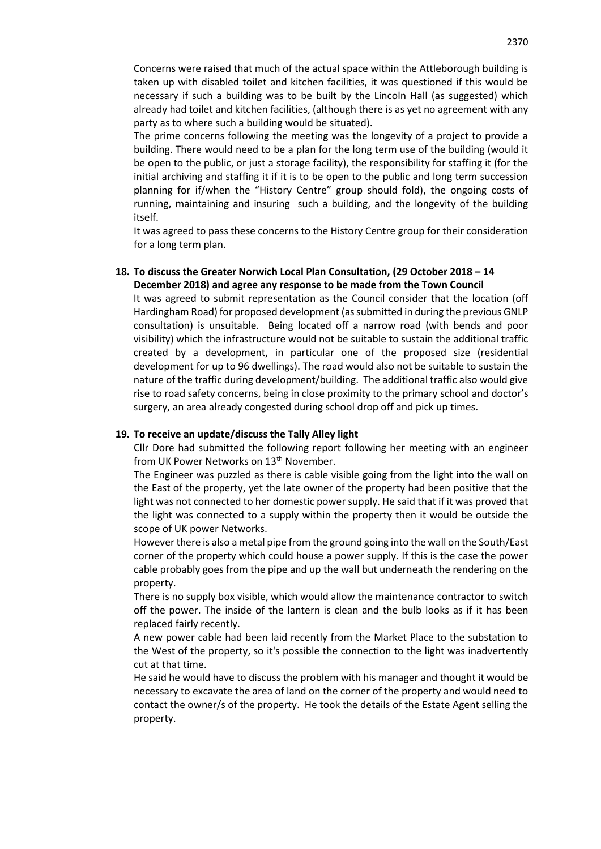Concerns were raised that much of the actual space within the Attleborough building is taken up with disabled toilet and kitchen facilities, it was questioned if this would be necessary if such a building was to be built by the Lincoln Hall (as suggested) which already had toilet and kitchen facilities, (although there is as yet no agreement with any party as to where such a building would be situated).

The prime concerns following the meeting was the longevity of a project to provide a building. There would need to be a plan for the long term use of the building (would it be open to the public, or just a storage facility), the responsibility for staffing it (for the initial archiving and staffing it if it is to be open to the public and long term succession planning for if/when the "History Centre" group should fold), the ongoing costs of running, maintaining and insuring such a building, and the longevity of the building itself.

It was agreed to pass these concerns to the History Centre group for their consideration for a long term plan.

### **18. To discuss the Greater Norwich Local Plan Consultation, (29 October 2018 – 14 December 2018) and agree any response to be made from the Town Council**

It was agreed to submit representation as the Council consider that the location (off Hardingham Road) for proposed development (as submitted in during the previous GNLP consultation) is unsuitable. Being located off a narrow road (with bends and poor visibility) which the infrastructure would not be suitable to sustain the additional traffic created by a development, in particular one of the proposed size (residential development for up to 96 dwellings). The road would also not be suitable to sustain the nature of the traffic during development/building. The additional traffic also would give rise to road safety concerns, being in close proximity to the primary school and doctor's surgery, an area already congested during school drop off and pick up times.

### **19. To receive an update/discuss the Tally Alley light**

Cllr Dore had submitted the following report following her meeting with an engineer from UK Power Networks on 13<sup>th</sup> November.

The Engineer was puzzled as there is cable visible going from the light into the wall on the East of the property, yet the late owner of the property had been positive that the light was not connected to her domestic power supply. He said that if it was proved that the light was connected to a supply within the property then it would be outside the scope of UK power Networks.

However there is also a metal pipe from the ground going into the wall on the South/East corner of the property which could house a power supply. If this is the case the power cable probably goes from the pipe and up the wall but underneath the rendering on the property.

There is no supply box visible, which would allow the maintenance contractor to switch off the power. The inside of the lantern is clean and the bulb looks as if it has been replaced fairly recently.

A new power cable had been laid recently from the Market Place to the substation to the West of the property, so it's possible the connection to the light was inadvertently cut at that time.

He said he would have to discuss the problem with his manager and thought it would be necessary to excavate the area of land on the corner of the property and would need to contact the owner/s of the property. He took the details of the Estate Agent selling the property.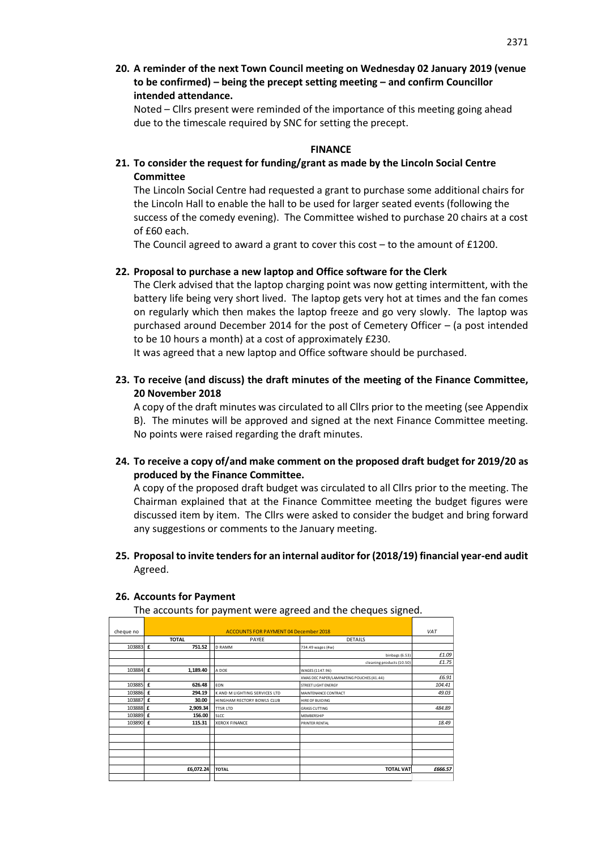**20. A reminder of the next Town Council meeting on Wednesday 02 January 2019 (venue to be confirmed) – being the precept setting meeting – and confirm Councillor intended attendance.**

Noted – Cllrs present were reminded of the importance of this meeting going ahead due to the timescale required by SNC for setting the precept.

### **FINANCE**

**21. To consider the request for funding/grant as made by the Lincoln Social Centre Committee**

The Lincoln Social Centre had requested a grant to purchase some additional chairs for the Lincoln Hall to enable the hall to be used for larger seated events (following the success of the comedy evening). The Committee wished to purchase 20 chairs at a cost of £60 each.

The Council agreed to award a grant to cover this cost  $-$  to the amount of £1200.

### **22. Proposal to purchase a new laptop and Office software for the Clerk**

The Clerk advised that the laptop charging point was now getting intermittent, with the battery life being very short lived. The laptop gets very hot at times and the fan comes on regularly which then makes the laptop freeze and go very slowly. The laptop was purchased around December 2014 for the post of Cemetery Officer – (a post intended to be 10 hours a month) at a cost of approximately £230.

It was agreed that a new laptop and Office software should be purchased.

**23. To receive (and discuss) the draft minutes of the meeting of the Finance Committee, 20 November 2018**

A copy of the draft minutes was circulated to all Cllrs prior to the meeting (see Appendix B). The minutes will be approved and signed at the next Finance Committee meeting. No points were raised regarding the draft minutes.

**24. To receive a copy of/and make comment on the proposed draft budget for 2019/20 as produced by the Finance Committee.**

A copy of the proposed draft budget was circulated to all Cllrs prior to the meeting. The Chairman explained that at the Finance Committee meeting the budget figures were discussed item by item. The Cllrs were asked to consider the budget and bring forward any suggestions or comments to the January meeting.

**25. Proposal to invite tenders for an internal auditor for (2018/19) financial year-end audit**  Agreed.

| cheque no |                                         |  | <b>ACCOUNTS FOR PAYMENT 04 December 2018</b> |                                           | VAT     |
|-----------|-----------------------------------------|--|----------------------------------------------|-------------------------------------------|---------|
|           | <b>TOTAL</b><br><b>DETAILS</b><br>PAYEE |  |                                              |                                           |         |
| 103883 £  | 751.52                                  |  | <b>D RAMM</b>                                |                                           |         |
|           |                                         |  |                                              | 734.49 wages (4w)                         |         |
|           |                                         |  |                                              | binbags (6.53)                            | £1.09   |
|           |                                         |  |                                              | cleaning products (10.50)                 | £1.75   |
| 103884 £  | 1,189.40                                |  | A DOE                                        | WAGES (1147.96)                           |         |
|           |                                         |  |                                              | XMAS DEC PAPER/LAMINATING POUCHES (41.44) | £6.91   |
| 103885 £  | 626.48                                  |  | <b>EON</b>                                   | <b>STREET LIGHT ENERGY</b>                | 104.41  |
| 103886 £  | 294.19                                  |  | K AND M LIGHTING SERVICES LTD                | MAINTENANCE CONTRACT                      | 49.03   |
| 103887 £  | 30.00                                   |  | HINGHAM RECTORY BOWLS CLUB                   | HIRE OF BUIDING                           |         |
| 103888 £  | 2,909.34                                |  | <b>TTSR LTD</b>                              | <b>GRASS CUTTING</b>                      | 484.89  |
| 103889 £  | 156.00                                  |  | <b>SLCC</b>                                  | <b>MEMBERSHIP</b>                         |         |
| 103890 £  | 115.31                                  |  | <b>XEROX FINANCE</b>                         | PRINTER RENTAL                            | 18.49   |
|           |                                         |  |                                              |                                           |         |
|           |                                         |  |                                              |                                           |         |
|           |                                         |  |                                              |                                           |         |
|           |                                         |  |                                              |                                           |         |
|           |                                         |  |                                              |                                           |         |
|           | £6,072.24                               |  | <b>TOTAL</b>                                 | <b>TOTAL VAT</b>                          | £666.57 |
|           |                                         |  |                                              |                                           |         |

#### **26. Accounts for Payment**

The accounts for payment were agreed and the cheques signed.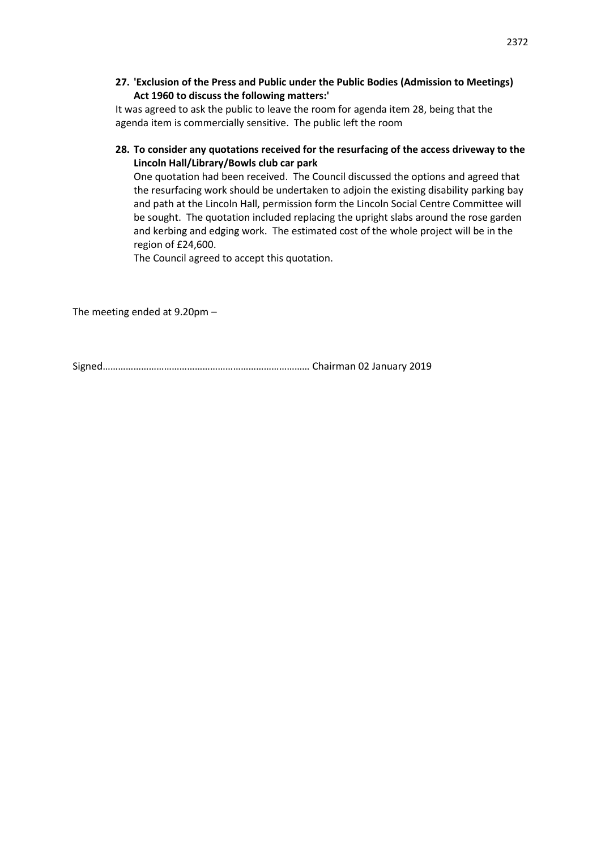**27. 'Exclusion of the Press and Public under the Public Bodies (Admission to Meetings) Act 1960 to discuss the following matters:'** 

It was agreed to ask the public to leave the room for agenda item 28, being that the agenda item is commercially sensitive. The public left the room

# **28. To consider any quotations received for the resurfacing of the access driveway to the Lincoln Hall/Library/Bowls club car park**

One quotation had been received. The Council discussed the options and agreed that the resurfacing work should be undertaken to adjoin the existing disability parking bay and path at the Lincoln Hall, permission form the Lincoln Social Centre Committee will be sought. The quotation included replacing the upright slabs around the rose garden and kerbing and edging work. The estimated cost of the whole project will be in the region of £24,600.

The Council agreed to accept this quotation.

The meeting ended at 9.20pm –

Signed……………………………………………………………………… Chairman 02 January 2019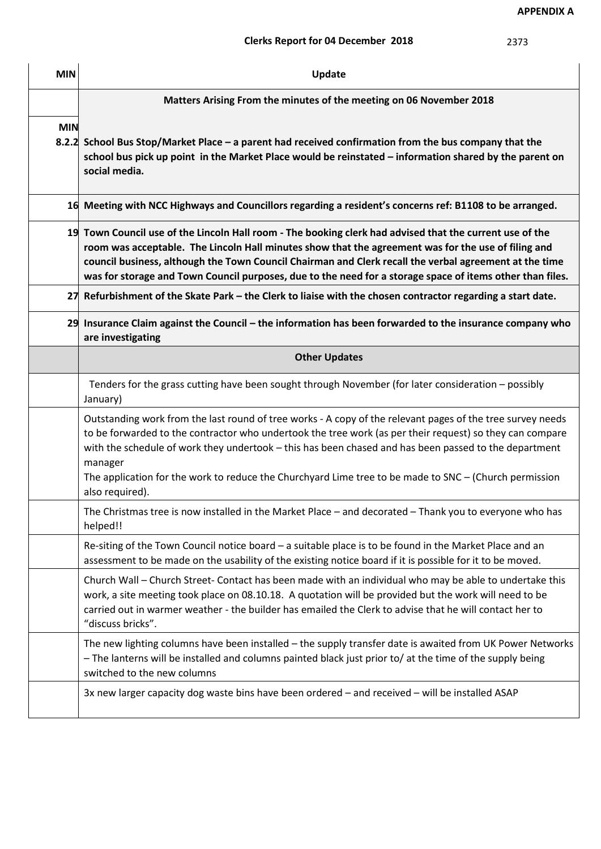**APPENDIX A**

# **Clerks Report for 04 December 2018**

| <b>MIN</b> | Update                                                                                                                                                                                                                                                                                                                                                                                                                                                                  |  |  |  |  |  |  |
|------------|-------------------------------------------------------------------------------------------------------------------------------------------------------------------------------------------------------------------------------------------------------------------------------------------------------------------------------------------------------------------------------------------------------------------------------------------------------------------------|--|--|--|--|--|--|
|            | Matters Arising From the minutes of the meeting on 06 November 2018                                                                                                                                                                                                                                                                                                                                                                                                     |  |  |  |  |  |  |
| <b>MIN</b> | 8.2.2 School Bus Stop/Market Place – a parent had received confirmation from the bus company that the<br>school bus pick up point in the Market Place would be reinstated – information shared by the parent on<br>social media.                                                                                                                                                                                                                                        |  |  |  |  |  |  |
|            | 16 Meeting with NCC Highways and Councillors regarding a resident's concerns ref: B1108 to be arranged.                                                                                                                                                                                                                                                                                                                                                                 |  |  |  |  |  |  |
|            | 19 Town Council use of the Lincoln Hall room - The booking clerk had advised that the current use of the<br>room was acceptable. The Lincoln Hall minutes show that the agreement was for the use of filing and<br>council business, although the Town Council Chairman and Clerk recall the verbal agreement at the time<br>was for storage and Town Council purposes, due to the need for a storage space of items other than files.                                  |  |  |  |  |  |  |
| 27         | Refurbishment of the Skate Park - the Clerk to liaise with the chosen contractor regarding a start date.                                                                                                                                                                                                                                                                                                                                                                |  |  |  |  |  |  |
|            | 29 Insurance Claim against the Council – the information has been forwarded to the insurance company who<br>are investigating                                                                                                                                                                                                                                                                                                                                           |  |  |  |  |  |  |
|            | <b>Other Updates</b>                                                                                                                                                                                                                                                                                                                                                                                                                                                    |  |  |  |  |  |  |
|            | Tenders for the grass cutting have been sought through November (for later consideration - possibly<br>January)                                                                                                                                                                                                                                                                                                                                                         |  |  |  |  |  |  |
|            | Outstanding work from the last round of tree works - A copy of the relevant pages of the tree survey needs<br>to be forwarded to the contractor who undertook the tree work (as per their request) so they can compare<br>with the schedule of work they undertook - this has been chased and has been passed to the department<br>manager<br>The application for the work to reduce the Churchyard Lime tree to be made to SNC - (Church permission<br>also required). |  |  |  |  |  |  |
|            | The Christmas tree is now installed in the Market Place - and decorated - Thank you to everyone who has<br>helped!!                                                                                                                                                                                                                                                                                                                                                     |  |  |  |  |  |  |
|            | Re-siting of the Town Council notice board - a suitable place is to be found in the Market Place and an<br>assessment to be made on the usability of the existing notice board if it is possible for it to be moved.                                                                                                                                                                                                                                                    |  |  |  |  |  |  |
|            | Church Wall - Church Street- Contact has been made with an individual who may be able to undertake this<br>work, a site meeting took place on 08.10.18. A quotation will be provided but the work will need to be<br>carried out in warmer weather - the builder has emailed the Clerk to advise that he will contact her to<br>"discuss bricks".                                                                                                                       |  |  |  |  |  |  |
|            | The new lighting columns have been installed - the supply transfer date is awaited from UK Power Networks<br>- The lanterns will be installed and columns painted black just prior to/ at the time of the supply being<br>switched to the new columns                                                                                                                                                                                                                   |  |  |  |  |  |  |
|            | 3x new larger capacity dog waste bins have been ordered - and received - will be installed ASAP                                                                                                                                                                                                                                                                                                                                                                         |  |  |  |  |  |  |

2373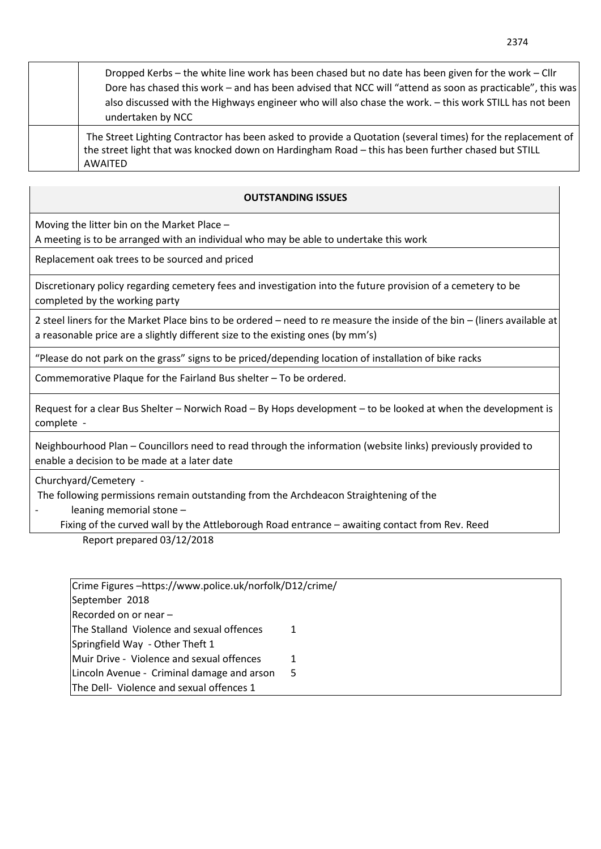| Dropped Kerbs – the white line work has been chased but no date has been given for the work – Cllr<br>Dore has chased this work - and has been advised that NCC will "attend as soon as practicable", this was<br>also discussed with the Highways engineer who will also chase the work. - this work STILL has not been<br>undertaken by NCC |
|-----------------------------------------------------------------------------------------------------------------------------------------------------------------------------------------------------------------------------------------------------------------------------------------------------------------------------------------------|
| The Street Lighting Contractor has been asked to provide a Quotation (several times) for the replacement of<br>the street light that was knocked down on Hardingham Road - this has been further chased but STILL<br>AWAITED                                                                                                                  |

# **OUTSTANDING ISSUES**

Moving the litter bin on the Market Place –

A meeting is to be arranged with an individual who may be able to undertake this work

Replacement oak trees to be sourced and priced

Discretionary policy regarding cemetery fees and investigation into the future provision of a cemetery to be completed by the working party

2 steel liners for the Market Place bins to be ordered – need to re measure the inside of the bin – (liners available at a reasonable price are a slightly different size to the existing ones (by mm's)

"Please do not park on the grass" signs to be priced/depending location of installation of bike racks

Commemorative Plaque for the Fairland Bus shelter – To be ordered.

Request for a clear Bus Shelter – Norwich Road – By Hops development – to be looked at when the development is complete -

Neighbourhood Plan – Councillors need to read through the information (website links) previously provided to enable a decision to be made at a later date

Churchyard/Cemetery -

The following permissions remain outstanding from the Archdeacon Straightening of the

- leaning memorial stone –

Fixing of the curved wall by the Attleborough Road entrance – awaiting contact from Rev. Reed

Report prepared 03/12/2018

| Crime Figures -https://www.police.uk/norfolk/D12/crime/ |   |
|---------------------------------------------------------|---|
| September 2018                                          |   |
| Recorded on or near -                                   |   |
| The Stalland Violence and sexual offences               | 1 |
| Springfield Way - Other Theft 1                         |   |
| Muir Drive - Violence and sexual offences               | 1 |
| Lincoln Avenue - Criminal damage and arson              | 5 |
| The Dell- Violence and sexual offences 1                |   |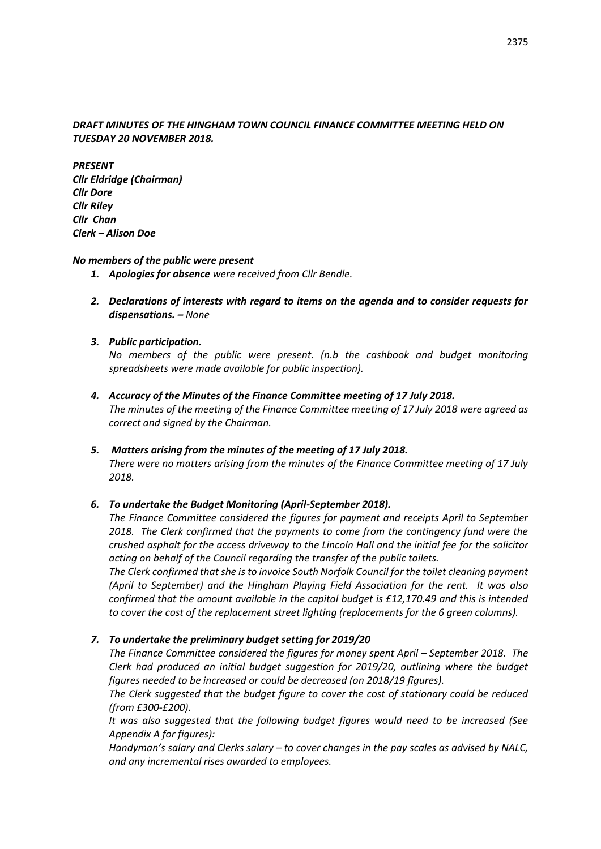### *DRAFT MINUTES OF THE HINGHAM TOWN COUNCIL FINANCE COMMITTEE MEETING HELD ON TUESDAY 20 NOVEMBER 2018.*

*PRESENT Cllr Eldridge (Chairman) Cllr Dore Cllr Riley Cllr Chan Clerk – Alison Doe*

### *No members of the public were present*

- *1. Apologies for absence were received from Cllr Bendle.*
- *2. Declarations of interests with regard to items on the agenda and to consider requests for dispensations. – None*

### *3. Public participation.*

*No members of the public were present. (n.b the cashbook and budget monitoring spreadsheets were made available for public inspection).*

*4. Accuracy of the Minutes of the Finance Committee meeting of 17 July 2018. The minutes of the meeting of the Finance Committee meeting of 17 July 2018 were agreed as correct and signed by the Chairman.*

### *5. Matters arising from the minutes of the meeting of 17 July 2018.*

*There were no matters arising from the minutes of the Finance Committee meeting of 17 July 2018.*

### *6. To undertake the Budget Monitoring (April-September 2018).*

*The Finance Committee considered the figures for payment and receipts April to September 2018. The Clerk confirmed that the payments to come from the contingency fund were the crushed asphalt for the access driveway to the Lincoln Hall and the initial fee for the solicitor acting on behalf of the Council regarding the transfer of the public toilets.* 

*The Clerk confirmed that she is to invoice South Norfolk Council for the toilet cleaning payment (April to September) and the Hingham Playing Field Association for the rent. It was also confirmed that the amount available in the capital budget is £12,170.49 and this is intended to cover the cost of the replacement street lighting (replacements for the 6 green columns).*

### *7. To undertake the preliminary budget setting for 2019/20*

*The Finance Committee considered the figures for money spent April – September 2018. The Clerk had produced an initial budget suggestion for 2019/20, outlining where the budget figures needed to be increased or could be decreased (on 2018/19 figures).*

*The Clerk suggested that the budget figure to cover the cost of stationary could be reduced (from £300-£200).*

*It was also suggested that the following budget figures would need to be increased (See Appendix A for figures):*

*Handyman's salary and Clerks salary – to cover changes in the pay scales as advised by NALC, and any incremental rises awarded to employees.*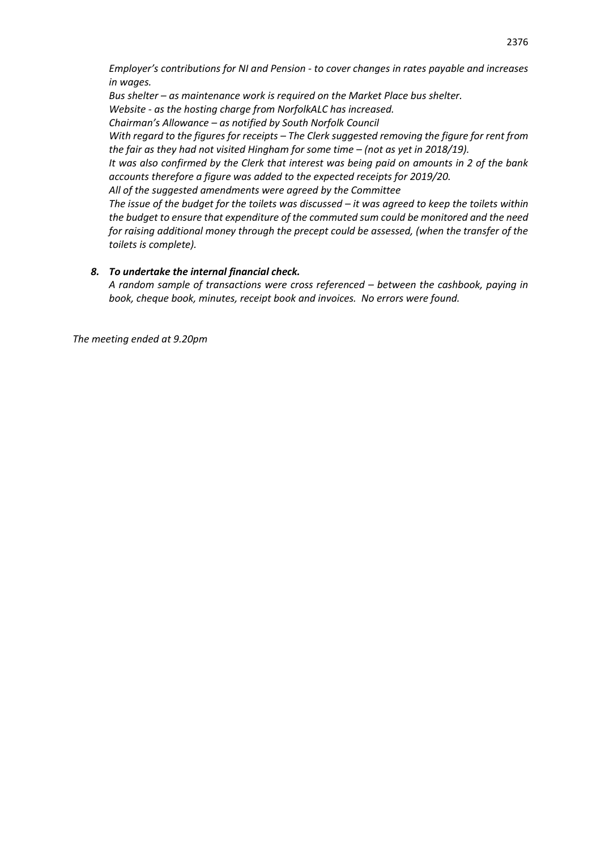*Employer's contributions for NI and Pension - to cover changes in rates payable and increases in wages.*

*Bus shelter – as maintenance work is required on the Market Place bus shelter. Website - as the hosting charge from NorfolkALC has increased. Chairman's Allowance – as notified by South Norfolk Council With regard to the figures for receipts – The Clerk suggested removing the figure for rent from* 

*the fair as they had not visited Hingham for some time – (not as yet in 2018/19). It was also confirmed by the Clerk that interest was being paid on amounts in 2 of the bank accounts therefore a figure was added to the expected receipts for 2019/20.*

*All of the suggested amendments were agreed by the Committee*

*The issue of the budget for the toilets was discussed – it was agreed to keep the toilets within the budget to ensure that expenditure of the commuted sum could be monitored and the need for raising additional money through the precept could be assessed, (when the transfer of the toilets is complete).*

# *8. To undertake the internal financial check.*

*A random sample of transactions were cross referenced – between the cashbook, paying in book, cheque book, minutes, receipt book and invoices. No errors were found.*

*The meeting ended at 9.20pm*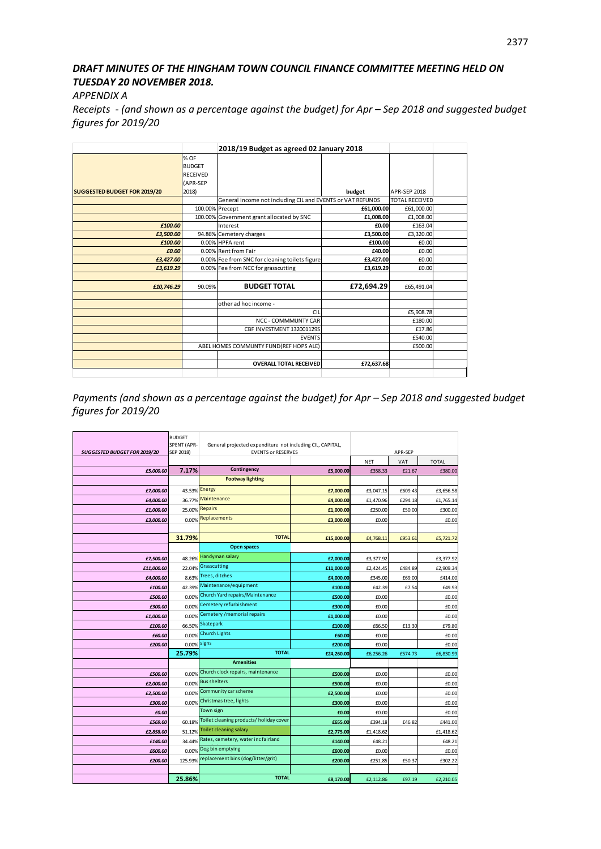# *DRAFT MINUTES OF THE HINGHAM TOWN COUNCIL FINANCE COMMITTEE MEETING HELD ON TUESDAY 20 NOVEMBER 2018.*

*APPENDIX A*

*Receipts - (and shown as a percentage against the budget) for Apr – Sep 2018 and suggested budget figures for 2019/20*

|                                     |                 | 2018/19 Budget as agreed 02 January 2018                   |            |                       |  |
|-------------------------------------|-----------------|------------------------------------------------------------|------------|-----------------------|--|
|                                     | % OF            |                                                            |            |                       |  |
|                                     | <b>BUDGET</b>   |                                                            |            |                       |  |
|                                     | <b>RECEIVED</b> |                                                            |            |                       |  |
|                                     | (APR-SEP        |                                                            |            |                       |  |
| <b>SUGGESTED BUDGET FOR 2019/20</b> | 2018)           |                                                            | budget     | APR-SEP 2018          |  |
|                                     |                 | General income not including CIL and EVENTS or VAT REFUNDS |            | <b>TOTAL RECEIVED</b> |  |
|                                     |                 | 100.00% Precept                                            | £61,000.00 | £61,000.00            |  |
|                                     |                 | 100.00% Government grant allocated by SNC                  | £1,008.00  | £1,008.00             |  |
| £100.00                             |                 | Interest                                                   | £0.00      | £163.04               |  |
| £3,500.00                           |                 | 94.86% Cemetery charges                                    | £3.500.00  | £3,320.00             |  |
| £100.00                             |                 | 0.00% HPFA rent                                            | £100.00    | £0.00                 |  |
| £0.00                               |                 | 0.00% Rent from Fair                                       | £40.00     | £0.00                 |  |
| £3,427.00                           |                 | 0.00% Fee from SNC for cleaning toilets figure             | £3,427.00  | £0.00                 |  |
| £3,619.29                           |                 | 0.00% Fee from NCC for grasscutting                        | £3,619.29  | £0.00                 |  |
|                                     |                 |                                                            |            |                       |  |
| £10,746.29                          | 90.09%          | <b>BUDGET TOTAL</b>                                        | £72,694.29 | £65,491.04            |  |
|                                     |                 |                                                            |            |                       |  |
|                                     |                 | other ad hoc income -                                      |            |                       |  |
|                                     |                 | CIL                                                        |            | £5.908.78             |  |
|                                     |                 | <b>NCC - COMMMUNTY CAR</b>                                 |            | £180.00               |  |
|                                     |                 | CBF INVESTMENT 132001129S                                  |            | £17.86                |  |
|                                     |                 | <b>EVENTS</b>                                              |            | £540.00               |  |
|                                     |                 | ABEL HOMES COMMUNTY FUND(REF HOPS ALE)                     |            | £500.00               |  |
|                                     |                 |                                                            |            |                       |  |
|                                     |                 | <b>OVERALL TOTAL RECEIVED</b>                              | £72,637.68 |                       |  |
|                                     |                 |                                                            |            |                       |  |

*Payments (and shown as a percentage against the budget) for Apr - Sep 2018 and suggested budget figures for 2019/20* 

| <b>SUGGESTED BUDGET FOR 2019/20</b> | <b>BUDGET</b><br>SPENT (APR-<br>SEP 2018) | General projected expenditure not including CIL, CAPITAL,<br><b>EVENTS or RESERVES</b> | APR-SEP    |            |         |              |
|-------------------------------------|-------------------------------------------|----------------------------------------------------------------------------------------|------------|------------|---------|--------------|
|                                     |                                           |                                                                                        |            | <b>NET</b> | VAT     | <b>TOTAL</b> |
| £5,000.00                           | 7.17%                                     | Contingency                                                                            | £5,000.00  | £358.33    | £21.67  | £380.00      |
|                                     |                                           | <b>Footway lighting</b>                                                                |            |            |         |              |
| £7,000.00                           | 43.53% Energy                             |                                                                                        | £7,000.00  | £3,047.15  | £609.43 | £3,656.58    |
| £4,000.00                           |                                           | 36.77% Maintenance                                                                     | £4,000.00  | £1,470.96  | £294.18 | £1,765.14    |
| £1,000.00                           |                                           | 25.00% Repairs                                                                         | £1,000.00  | £250.00    | £50.00  | £300.00      |
| £3,000.00                           | 0.00%                                     | Replacements                                                                           | £3,000.00  | £0.00      |         | £0.00        |
|                                     |                                           |                                                                                        |            |            |         |              |
|                                     | 31.79%                                    | <b>TOTAL</b>                                                                           | £15,000.00 | £4,768.11  | £953.61 | £5,721.72    |
|                                     |                                           | <b>Open spaces</b>                                                                     |            |            |         |              |
| £7,500.00                           | 48.26%                                    | <b>Handyman salary</b>                                                                 | £7,000.00  | £3,377.92  |         | £3,377.92    |
| £11,000.00                          | 22.04%                                    | Grasscutting                                                                           | £11,000.00 | £2,424.45  | £484.89 | £2,909.34    |
| £4,000.00                           | 8.63%                                     | Trees, ditches                                                                         | £4,000.00  | £345.00    | £69.00  | £414.00      |
| £100.00                             | 42.39%                                    | Maintenance/equipment                                                                  | £100.00    | £42.39     | £7.54   | £49.93       |
| £500.00                             | 0.00%                                     | Church Yard repairs/Maintenance                                                        | £500.00    | £0.00      |         | £0.00        |
| £300.00                             | 0.00%                                     | Cemetery refurbishment                                                                 | £300.00    | £0.00      |         | £0.00        |
| £1.000.00                           | 0.00%                                     | Cemetery / memorial repairs                                                            | £1,000.00  | £0.00      |         | £0.00        |
| £100.00                             | 66.50%                                    | Skatepark                                                                              | £100.00    | £66.50     | £13.30  | £79.80       |
| £60.00                              | 0.00%                                     | <b>Church Lights</b>                                                                   | £60.00     | £0.00      |         | £0.00        |
| £200.00                             | 0.00%                                     | signs                                                                                  | £200.00    | £0.00      |         | £0.00        |
|                                     | 25.79%                                    | <b>TOTAL</b>                                                                           | £24,260.00 | £6,256.26  | £574.73 | £6,830.99    |
|                                     |                                           | <b>Amenities</b>                                                                       |            |            |         |              |
| £500.00                             |                                           | 0.00% Church clock repairs, maintenance                                                | £500.00    | £0.00      |         | £0.00        |
| £2,000.00                           |                                           | 0.00% Bus shelters                                                                     | £500.00    | £0.00      |         | £0.00        |
| £2,500.00                           | 0.00%                                     | Community car scheme                                                                   | £2,500.00  | £0.00      |         | £0.00        |
| £300.00                             | 0.00%                                     | Christmas tree, lights                                                                 | £300.00    | £0.00      |         | £0.00        |
| £0.00                               |                                           | Town sign                                                                              | £0.00      | £0.00      |         | £0.00        |
| £569.00                             | 60.18%                                    | Toilet cleaning products/holiday cover                                                 | £655.00    | £394.18    | £46.82  | £441.00      |
| £2,858.00                           | 51.12%                                    | <b>Toilet cleaning salary</b>                                                          | £2,775.00  | £1,418.62  |         | £1,418.62    |
| £140.00                             | 34.44%                                    | Rates, cemetery, water inc fairland                                                    | £140.00    | £48.21     |         | £48.21       |
| £600.00                             | 0.00%                                     | Dog bin emptying                                                                       | £600.00    | £0.00      |         | £0.00        |
| £200.00                             | 125.93%                                   | replacement bins (dog/litter/grit)                                                     | £200.00    | £251.85    | £50.37  | £302.22      |
|                                     |                                           |                                                                                        |            |            |         |              |
|                                     | 25.86%                                    | <b>TOTAL</b>                                                                           | £8,170.00  | £2.112.86  | £97.19  | £2,210.05    |